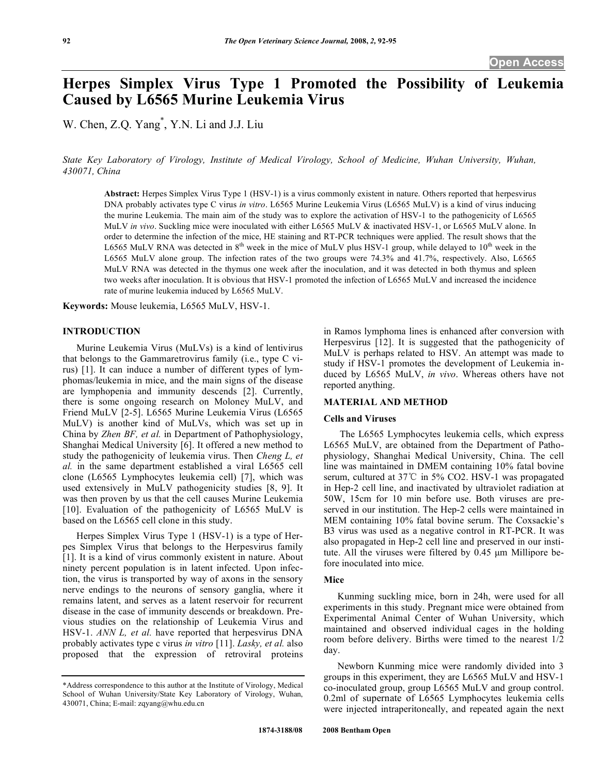# **Herpes Simplex Virus Type 1 Promoted the Possibility of Leukemia Caused by L6565 Murine Leukemia Virus**

W. Chen, Z.Q. Yang<sup>\*</sup>, Y.N. Li and J.J. Liu

*State Key Laboratory of Virology, Institute of Medical Virology, School of Medicine, Wuhan University, Wuhan, 430071, China* 

**Abstract:** Herpes Simplex Virus Type 1 (HSV-1) is a virus commonly existent in nature. Others reported that herpesvirus DNA probably activates type C virus *in vitro*. L6565 Murine Leukemia Virus (L6565 MuLV) is a kind of virus inducing the murine Leukemia. The main aim of the study was to explore the activation of HSV-1 to the pathogenicity of L6565 MuLV *in vivo*. Suckling mice were inoculated with either L6565 MuLV & inactivated HSV-1, or L6565 MuLV alone. In order to determine the infection of the mice, HE staining and RT-PCR techniques were applied. The result shows that the L6565 MuLV RNA was detected in  $8<sup>th</sup>$  week in the mice of MuLV plus HSV-1 group, while delayed to 10<sup>th</sup> week in the L6565 MuLV alone group. The infection rates of the two groups were 74.3% and 41.7%, respectively. Also, L6565 MuLV RNA was detected in the thymus one week after the inoculation, and it was detected in both thymus and spleen two weeks after inoculation. It is obvious that HSV-1 promoted the infection of L6565 MuLV and increased the incidence rate of murine leukemia induced by L6565 MuLV.

**Keywords:** Mouse leukemia, L6565 MuLV, HSV-1.

#### **INTRODUCTION**

 Murine Leukemia Virus (MuLVs) is a kind of lentivirus that belongs to the Gammaretrovirus family (i.e., type C virus) [1]. It can induce a number of different types of lymphomas/leukemia in mice, and the main signs of the disease are lymphopenia and immunity descends [2]. Currently, there is some ongoing research on Moloney MuLV, and Friend MuLV [2-5]. L6565 Murine Leukemia Virus (L6565 MuLV) is another kind of MuLVs, which was set up in China by *Zhen BF, et al.* in Department of Pathophysiology, Shanghai Medical University [6]. It offered a new method to study the pathogenicity of leukemia virus. Then *Cheng L, et al.* in the same department established a viral L6565 cell clone (L6565 Lymphocytes leukemia cell) [7], which was used extensively in MuLV pathogenicity studies [8, 9]. It was then proven by us that the cell causes Murine Leukemia [10]. Evaluation of the pathogenicity of L6565 MuLV is based on the L6565 cell clone in this study.

 Herpes Simplex Virus Type 1 (HSV-1) is a type of Herpes Simplex Virus that belongs to the Herpesvirus family [1]. It is a kind of virus commonly existent in nature. About ninety percent population is in latent infected. Upon infection, the virus is transported by way of axons in the sensory nerve endings to the neurons of sensory ganglia, where it remains latent, and serves as a latent reservoir for recurrent disease in the case of immunity descends or breakdown. Previous studies on the relationship of Leukemia Virus and HSV-1. *ANN L, et al.* have reported that herpesvirus DNA probably activates type c virus *in vitro* [11]. *Lasky, et al.* also proposed that the expression of retroviral proteins

in Ramos lymphoma lines is enhanced after conversion with Herpesvirus [12]. It is suggested that the pathogenicity of MuLV is perhaps related to HSV. An attempt was made to study if HSV-1 promotes the development of Leukemia induced by L6565 MuLV, *in vivo*. Whereas others have not reported anything.

# **MATERIAL AND METHOD**

# **Cells and Viruses**

 The L6565 Lymphocytes leukemia cells, which express L6565 MuLV, are obtained from the Department of Pathophysiology, Shanghai Medical University, China. The cell line was maintained in DMEM containing 10% fatal bovine serum, cultured at  $37^{\circ}$ C in 5% CO2. HSV-1 was propagated in Hep-2 cell line, and inactivated by ultraviolet radiation at 50W, 15cm for 10 min before use. Both viruses are preserved in our institution. The Hep-2 cells were maintained in MEM containing 10% fatal bovine serum. The Coxsackie's B3 virus was used as a negative control in RT-PCR. It was also propagated in Hep-2 cell line and preserved in our institute. All the viruses were filtered by 0.45 μm Millipore before inoculated into mice.

#### **Mice**

 Kunming suckling mice, born in 24h, were used for all experiments in this study. Pregnant mice were obtained from Experimental Animal Center of Wuhan University, which maintained and observed individual cages in the holding room before delivery. Births were timed to the nearest 1/2 day.

 Newborn Kunming mice were randomly divided into 3 groups in this experiment, they are L6565 MuLV and HSV-1 co-inoculated group, group L6565 MuLV and group control. 0.2ml of supernate of L6565 Lymphocytes leukemia cells were injected intraperitoneally, and repeated again the next

<sup>\*</sup>Address correspondence to this author at the Institute of Virology, Medical School of Wuhan University/State Key Laboratory of Virology, Wuhan, 430071, China; E-mail: zqyang@whu.edu.cn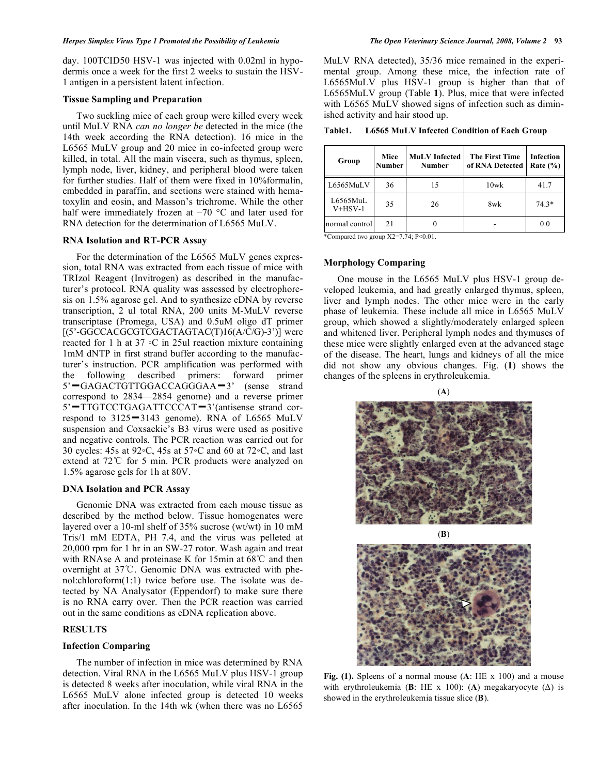day. 100TCID50 HSV-1 was injected with 0.02ml in hypodermis once a week for the first 2 weeks to sustain the HSV-1 antigen in a persistent latent infection.

# **Tissue Sampling and Preparation**

 Two suckling mice of each group were killed every week until MuLV RNA *can no longer be* detected in the mice (the 14th week according the RNA detection). 16 mice in the L6565 MuLV group and 20 mice in co-infected group were killed, in total. All the main viscera, such as thymus, spleen, lymph node, liver, kidney, and peripheral blood were taken for further studies. Half of them were fixed in 10%formalin, embedded in paraffin, and sections were stained with hematoxylin and eosin, and Masson's trichrome. While the other half were immediately frozen at  $-70$  °C and later used for RNA detection for the determination of L6565 MuLV.

## **RNA Isolation and RT-PCR Assay**

 For the determination of the L6565 MuLV genes expression, total RNA was extracted from each tissue of mice with TRIzol Reagent (Invitrogen) as described in the manufacturer's protocol. RNA quality was assessed by electrophoresis on 1.5% agarose gel. And to synthesize cDNA by reverse transcription, 2 ul total RNA, 200 units M-MuLV reverse transcriptase (Promega, USA) and 0.5uM oligo dT primer  $[(5'-GGCCACCGTCGACTAGTAC(T)16(A/C/G)-3')]$  were reacted for 1 h at  $37 \text{ °C}$  in  $25ul$  reaction mixture containing 1mM dNTP in first strand buffer according to the manufacturer's instruction. PCR amplification was performed with the following described primers: forward primer 5'-GAGACTGTTGGACCAGGGAA-3' (sense strand correspond to 2834—2854 genome) and a reverse primer 5'-TTGTCCTGAGATTCCCAT-3'(antisense strand correspond to  $3125 - 3143$  genome). RNA of L6565 MuLV suspension and Coxsackie's B3 virus were used as positive and negative controls. The PCR reaction was carried out for 30 cycles: 45s at 92 $\circ$ C, 45s at 57 $\circ$ C and 60 at 72 $\circ$ C, and last extend at  $72^{\circ}$ C for 5 min. PCR products were analyzed on 1.5% agarose gels for 1h at 80V.

#### **DNA Isolation and PCR Assay**

 Genomic DNA was extracted from each mouse tissue as described by the method below. Tissue homogenates were layered over a 10-ml shelf of 35% sucrose (wt/wt) in 10 mM Tris/1 mM EDTA, PH 7.4, and the virus was pelleted at 20,000 rpm for 1 hr in an SW-27 rotor. Wash again and treat with RNAse A and proteinase K for 15min at  $68^{\circ}$ C and then overnight at  $37^{\circ}$ C. Genomic DNA was extracted with phenol:chloroform(1:1) twice before use. The isolate was detected by NA Analysator (Eppendorf) to make sure there is no RNA carry over. Then the PCR reaction was carried out in the same conditions as cDNA replication above.

# **RESULTS**

#### **Infection Comparing**

 The number of infection in mice was determined by RNA detection. Viral RNA in the L6565 MuLV plus HSV-1 group is detected 8 weeks after inoculation, while viral RNA in the L6565 MuLV alone infected group is detected 10 weeks after inoculation. In the 14th wk (when there was no L6565

MuLV RNA detected), 35/36 mice remained in the experimental group. Among these mice, the infection rate of L6565MuLV plus HSV-1 group is higher than that of L6565MuLV group (Table **1**). Plus, mice that were infected with L6565 MuLV showed signs of infection such as diminished activity and hair stood up.

**Table1. L6565 MuLV Infected Condition of Each Group** 

| Group                 | Mice<br><b>Number</b> | <b>MuLV</b> Infected<br><b>Number</b> | <b>The First Time</b><br>of RNA Detected | <b>Infection</b><br>Rate $(\% )$ |
|-----------------------|-----------------------|---------------------------------------|------------------------------------------|----------------------------------|
| L6565MuLV             | 36                    | 15                                    | $10$ w $k$                               | 41.7                             |
| L6565MuL<br>$V+HSV-1$ | 35                    | 26                                    | 8wk                                      | $74.3*$                          |
| normal control        | 21                    |                                       |                                          | 0.0                              |

\*Compared two group X2=7.74; P<0.01.

### **Morphology Comparing**

 One mouse in the L6565 MuLV plus HSV-1 group developed leukemia, and had greatly enlarged thymus, spleen, liver and lymph nodes. The other mice were in the early phase of leukemia. These include all mice in L6565 MuLV group, which showed a slightly/moderately enlarged spleen and whitened liver. Peripheral lymph nodes and thymuses of these mice were slightly enlarged even at the advanced stage of the disease. The heart, lungs and kidneys of all the mice did not show any obvious changes. Fig. (**1**) shows the changes of the spleens in erythroleukemia.





**Fig. (1).** Spleens of a normal mouse (**A**: HE x 100) and a mouse with erythroleukemia (**B**: HE x 100): (**A**) megakaryocyte ( $\Delta$ ) is showed in the erythroleukemia tissue slice (**B**).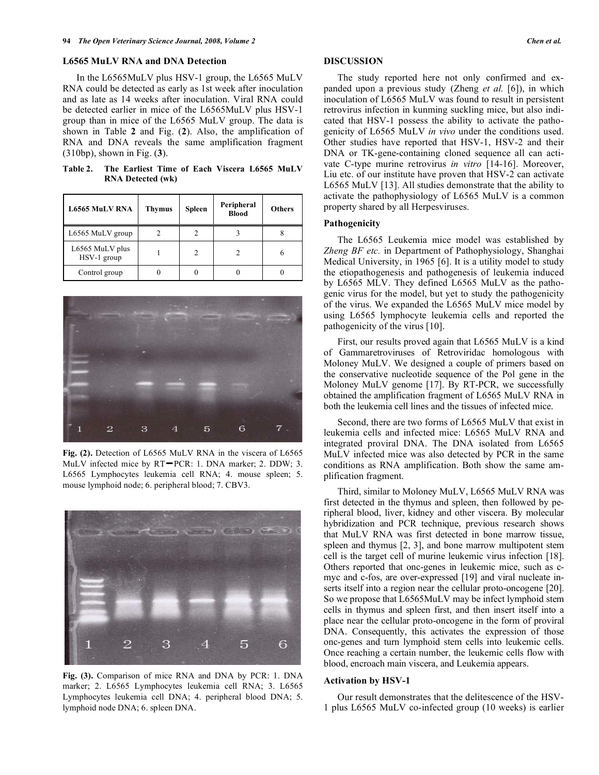#### **L6565 MuLV RNA and DNA Detection**

 In the L6565MuLV plus HSV-1 group, the L6565 MuLV RNA could be detected as early as 1st week after inoculation and as late as 14 weeks after inoculation. Viral RNA could be detected earlier in mice of the L6565MuLV plus HSV-1 group than in mice of the L6565 MuLV group. The data is shown in Table **2** and Fig. (**2**). Also, the amplification of RNA and DNA reveals the same amplification fragment (310bp), shown in Fig. (**3**).

**Table 2. The Earliest Time of Each Viscera L6565 MuLV RNA Detected (wk)** 

| <b>L6565 MuLV RNA</b>          | <b>Thymus</b> | <b>Spleen</b> | Peripheral<br><b>Blood</b> | <b>Others</b> |
|--------------------------------|---------------|---------------|----------------------------|---------------|
| L6565 MuLV group               |               |               |                            |               |
| L6565 MuLV plus<br>HSV-1 group |               |               |                            | 6             |
| Control group                  |               |               |                            |               |



**Fig. (2).** Detection of L6565 MuLV RNA in the viscera of L6565 MuLV infected mice by RT-PCR: 1. DNA marker; 2. DDW; 3. L6565 Lymphocytes leukemia cell RNA; 4. mouse spleen; 5. mouse lymphoid node; 6. peripheral blood; 7. CBV3.



**Fig. (3).** Comparison of mice RNA and DNA by PCR: 1. DNA marker; 2. L6565 Lymphocytes leukemia cell RNA; 3. L6565 Lymphocytes leukemia cell DNA; 4. peripheral blood DNA; 5. lymphoid node DNA; 6. spleen DNA.

# **DISCUSSION**

 The study reported here not only confirmed and expanded upon a previous study (Zheng *et al.* [6]), in which inoculation of L6565 MuLV was found to result in persistent retrovirus infection in kunming suckling mice, but also indicated that HSV-1 possess the ability to activate the pathogenicity of L6565 MuLV *in vivo* under the conditions used. Other studies have reported that HSV-1, HSV-2 and their DNA or TK-gene-containing cloned sequence all can activate C-type murine retrovirus *in vitro* [14-16]. Moreover, Liu etc. of our institute have proven that HSV-2 can activate L6565 MuLV [13]. All studies demonstrate that the ability to activate the pathophysiology of L6565 MuLV is a common property shared by all Herpesviruses.

# **Pathogenicity**

The L6565 Leukemia mice model was established by *Zheng BF etc.* in Department of Pathophysiology, Shanghai Medical University, in 1965 [6]. It is a utility model to study the etiopathogenesis and pathogenesis of leukemia induced by L6565 MLV. They defined L6565 MuLV as the pathogenic virus for the model, but yet to study the pathogenicity of the virus. We expanded the L6565 MuLV mice model by using L6565 lymphocyte leukemia cells and reported the pathogenicity of the virus [10].

 First, our results proved again that L6565 MuLV is a kind of Gammaretroviruses of Retroviridac homologous with Moloney MuLV. We designed a couple of primers based on the conservative nucleotide sequence of the Pol gene in the Moloney MuLV genome [17]. By RT-PCR, we successfully obtained the amplification fragment of L6565 MuLV RNA in both the leukemia cell lines and the tissues of infected mice.

 Second, there are two forms of L6565 MuLV that exist in leukemia cells and infected mice: L6565 MuLV RNA and integrated proviral DNA. The DNA isolated from L6565 MuLV infected mice was also detected by PCR in the same conditions as RNA amplification. Both show the same amplification fragment.

 Third, similar to Moloney MuLV, L6565 MuLV RNA was first detected in the thymus and spleen, then followed by peripheral blood, liver, kidney and other viscera. By molecular hybridization and PCR technique, previous research shows that MuLV RNA was first detected in bone marrow tissue, spleen and thymus [2, 3], and bone marrow multipotent stem cell is the target cell of murine leukemic virus infection [18]. Others reported that onc-genes in leukemic mice, such as cmyc and c-fos, are over-expressed [19] and viral nucleate inserts itself into a region near the cellular proto-oncogene [20]. So we propose that L6565MuLV may be infect lymphoid stem cells in thymus and spleen first, and then insert itself into a place near the cellular proto-oncogene in the form of proviral DNA. Consequently, this activates the expression of those onc-genes and turn lymphoid stem cells into leukemic cells. Once reaching a certain number, the leukemic cells flow with blood, encroach main viscera, and Leukemia appears.

#### **Activation by HSV-1**

 Our result demonstrates that the delitescence of the HSV-1 plus L6565 MuLV co-infected group (10 weeks) is earlier